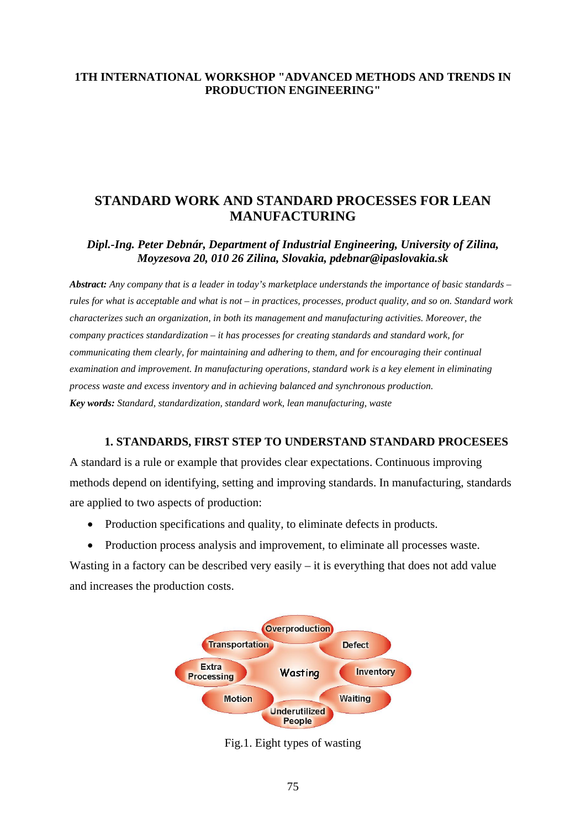### **1TH INTERNATIONAL WORKSHOP "ADVANCED METHODS AND TRENDS IN PRODUCTION ENGINEERING"**

# **STANDARD WORK AND STANDARD PROCESSES FOR LEAN MANUFACTURING**

*Dipl.-Ing. Peter Debnár, Department of Industrial Engineering, University of Zilina, Moyzesova 20, 010 26 Zilina, Slovakia, pdebnar@ipaslovakia.sk*

*Abstract: Any company that is a leader in today's marketplace understands the importance of basic standards – rules for what is acceptable and what is not – in practices, processes, product quality, and so on. Standard work characterizes such an organization, in both its management and manufacturing activities. Moreover, the company practices standardization – it has processes for creating standards and standard work, for communicating them clearly, for maintaining and adhering to them, and for encouraging their continual examination and improvement. In manufacturing operations, standard work is a key element in eliminating process waste and excess inventory and in achieving balanced and synchronous production. Key words: Standard, standardization, standard work, lean manufacturing, waste* 

#### **1. STANDARDS, FIRST STEP TO UNDERSTAND STANDARD PROCESEES**

A standard is a rule or example that provides clear expectations. Continuous improving methods depend on identifying, setting and improving standards. In manufacturing, standards are applied to two aspects of production:

- Production specifications and quality, to eliminate defects in products.
- Production process analysis and improvement, to eliminate all processes waste.

Wasting in a factory can be described very easily  $-$  it is everything that does not add value and increases the production costs.



Fig.1. Eight types of wasting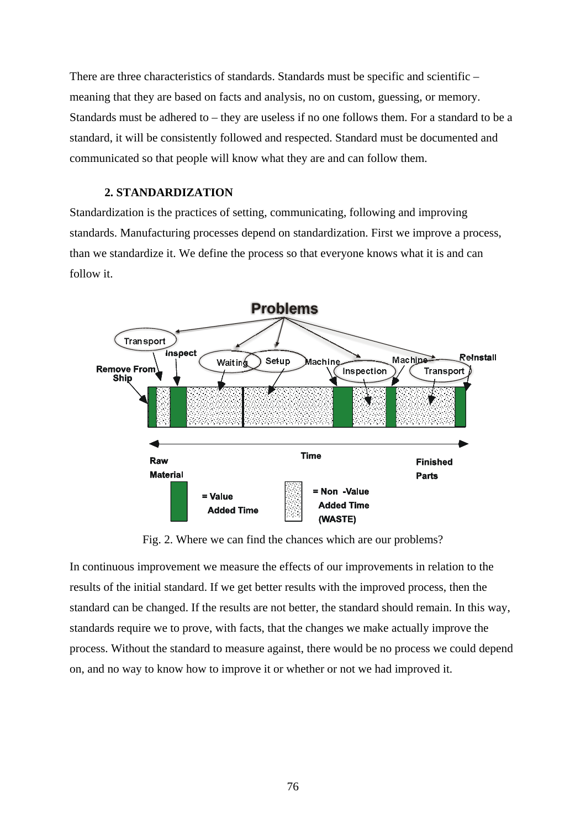There are three characteristics of standards. Standards must be specific and scientific – meaning that they are based on facts and analysis, no on custom, guessing, or memory. Standards must be adhered to – they are useless if no one follows them. For a standard to be a standard, it will be consistently followed and respected. Standard must be documented and communicated so that people will know what they are and can follow them.

### **2. STANDARDIZATION**

Standardization is the practices of setting, communicating, following and improving standards. Manufacturing processes depend on standardization. First we improve a process, than we standardize it. We define the process so that everyone knows what it is and can follow it.



Fig. 2. Where we can find the chances which are our problems?

In continuous improvement we measure the effects of our improvements in relation to the results of the initial standard. If we get better results with the improved process, then the standard can be changed. If the results are not better, the standard should remain. In this way, standards require we to prove, with facts, that the changes we make actually improve the process. Without the standard to measure against, there would be no process we could depend on, and no way to know how to improve it or whether or not we had improved it.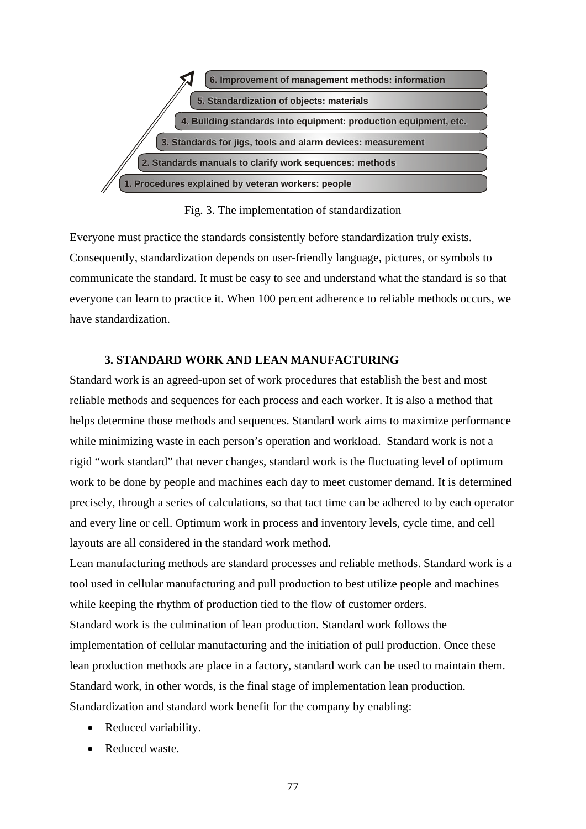

Fig. 3. The implementation of standardization

Everyone must practice the standards consistently before standardization truly exists. Consequently, standardization depends on user-friendly language, pictures, or symbols to communicate the standard. It must be easy to see and understand what the standard is so that everyone can learn to practice it. When 100 percent adherence to reliable methods occurs, we have standardization.

### **3. STANDARD WORK AND LEAN MANUFACTURING**

Standard work is an agreed-upon set of work procedures that establish the best and most reliable methods and sequences for each process and each worker. It is also a method that helps determine those methods and sequences. Standard work aims to maximize performance while minimizing waste in each person's operation and workload. Standard work is not a rigid "work standard" that never changes, standard work is the fluctuating level of optimum work to be done by people and machines each day to meet customer demand. It is determined precisely, through a series of calculations, so that tact time can be adhered to by each operator and every line or cell. Optimum work in process and inventory levels, cycle time, and cell layouts are all considered in the standard work method.

Lean manufacturing methods are standard processes and reliable methods. Standard work is a tool used in cellular manufacturing and pull production to best utilize people and machines while keeping the rhythm of production tied to the flow of customer orders. Standard work is the culmination of lean production. Standard work follows the implementation of cellular manufacturing and the initiation of pull production. Once these lean production methods are place in a factory, standard work can be used to maintain them. Standard work, in other words, is the final stage of implementation lean production. Standardization and standard work benefit for the company by enabling:

- Reduced variability.
- Reduced waste.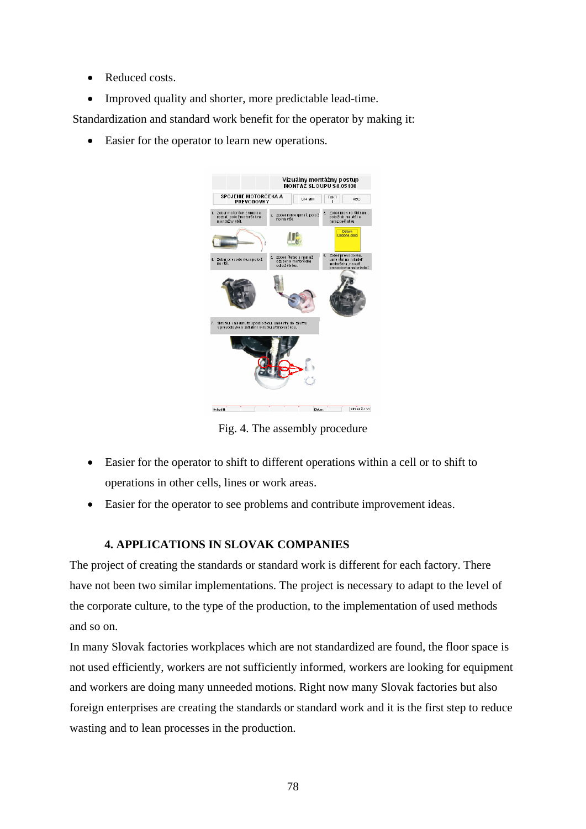- Reduced costs.
- Improved quality and shorter, more predictable lead-time.

Standardization and standard work benefit for the operator by making it:

• Easier for the operator to learn new operations.



Fig. 4. The assembly procedure

- Easier for the operator to shift to different operations within a cell or to shift to operations in other cells, lines or work areas.
- Easier for the operator to see problems and contribute improvement ideas.

## **4. APPLICATIONS IN SLOVAK COMPANIES**

The project of creating the standards or standard work is different for each factory. There have not been two similar implementations. The project is necessary to adapt to the level of the corporate culture, to the type of the production, to the implementation of used methods and so on.

In many Slovak factories workplaces which are not standardized are found, the floor space is not used efficiently, workers are not sufficiently informed, workers are looking for equipment and workers are doing many unneeded motions. Right now many Slovak factories but also foreign enterprises are creating the standards or standard work and it is the first step to reduce wasting and to lean processes in the production.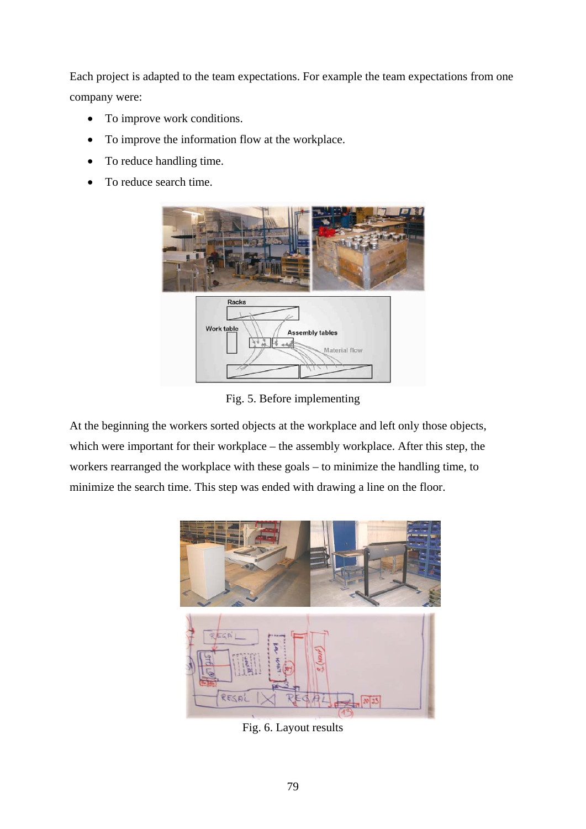Each project is adapted to the team expectations. For example the team expectations from one company were:

- To improve work conditions.
- To improve the information flow at the workplace.
- To reduce handling time.
- To reduce search time.



Fig. 5. Before implementing

At the beginning the workers sorted objects at the workplace and left only those objects, which were important for their workplace – the assembly workplace. After this step, the workers rearranged the workplace with these goals – to minimize the handling time, to minimize the search time. This step was ended with drawing a line on the floor.



Fig. 6. Layout results